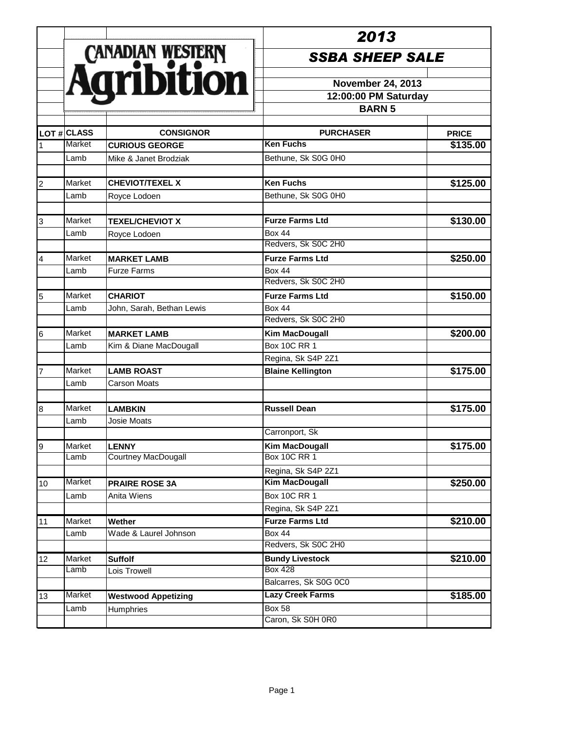|                | CANADIAN WESTERN |                            | 2013<br><b>SSBA SHEEP SALE</b>        |              |  |
|----------------|------------------|----------------------------|---------------------------------------|--------------|--|
|                |                  |                            |                                       |              |  |
|                |                  |                            |                                       |              |  |
|                |                  |                            | <b>November 24, 2013</b>              |              |  |
|                |                  |                            | 12:00:00 PM Saturday<br><b>BARN 5</b> |              |  |
|                |                  |                            |                                       |              |  |
|                | LOT # CLASS      | <b>CONSIGNOR</b>           | <b>PURCHASER</b>                      | <b>PRICE</b> |  |
|                | Market           | <b>CURIOUS GEORGE</b>      | <b>Ken Fuchs</b>                      | \$135.00     |  |
|                | Lamb             | Mike & Janet Brodziak      | Bethune, Sk S0G 0H0                   |              |  |
| $\overline{2}$ | Market           | <b>CHEVIOT/TEXEL X</b>     | <b>Ken Fuchs</b>                      | \$125.00     |  |
|                | Lamb             | Royce Lodoen               | Bethune, Sk S0G 0H0                   |              |  |
|                |                  |                            |                                       |              |  |
| $\overline{3}$ | Market           | <b>TEXEL/CHEVIOT X</b>     | <b>Furze Farms Ltd</b>                | \$130.00     |  |
|                | Lamb             | Royce Lodoen               | <b>Box 44</b>                         |              |  |
|                |                  |                            | Redvers, Sk S0C 2H0                   |              |  |
| $\overline{4}$ | Market           | <b>MARKET LAMB</b>         | <b>Furze Farms Ltd</b>                | \$250.00     |  |
|                | Lamb             | <b>Furze Farms</b>         | <b>Box 44</b>                         |              |  |
|                |                  |                            | Redvers, Sk S0C 2H0                   |              |  |
| 5              | Market           | <b>CHARIOT</b>             | <b>Furze Farms Ltd</b>                | \$150.00     |  |
|                | Lamb             | John, Sarah, Bethan Lewis  | <b>Box 44</b>                         |              |  |
|                |                  |                            | Redvers, Sk S0C 2H0                   |              |  |
| 6              | Market           | <b>MARKET LAMB</b>         | <b>Kim MacDougall</b>                 | \$200.00     |  |
|                | Lamb             | Kim & Diane MacDougall     | <b>Box 10C RR 1</b>                   |              |  |
|                |                  |                            | Regina, Sk S4P 2Z1                    |              |  |
| $\overline{7}$ | Market           | <b>LAMB ROAST</b>          | <b>Blaine Kellington</b>              | \$175.00     |  |
|                | Lamb             | <b>Carson Moats</b>        |                                       |              |  |
| 8              | Market           | <b>LAMBKIN</b>             | <b>Russell Dean</b>                   | \$175.00     |  |
|                | Lamb             | Josie Moats                |                                       |              |  |
|                |                  |                            | Carronport, Sk                        |              |  |
| $\overline{9}$ | Market           | <b>LENNY</b>               | <b>Kim MacDougall</b>                 | \$175.00     |  |
|                | Lamb             | <b>Courtney MacDougall</b> | <b>Box 10C RR 1</b>                   |              |  |
|                |                  |                            | Regina, Sk S4P 2Z1                    |              |  |
| 10             | Market           | <b>PRAIRE ROSE 3A</b>      | <b>Kim MacDougall</b>                 | \$250.00     |  |
|                | Lamb             | Anita Wiens                | <b>Box 10C RR 1</b>                   |              |  |
|                |                  |                            | Regina, Sk S4P 2Z1                    |              |  |
| 11             | Market           | Wether                     | Furze Farms Ltd                       | \$210.00     |  |
|                | Lamb             | Wade & Laurel Johnson      | <b>Box 44</b>                         |              |  |
|                |                  |                            | Redvers, Sk S0C 2H0                   |              |  |
| 12             | Market           | <b>Suffolf</b>             | <b>Bundy Livestock</b>                | \$210.00     |  |
|                | Lamb             | Lois Trowell               | <b>Box 428</b>                        |              |  |
|                |                  |                            | Balcarres, Sk S0G 0C0                 |              |  |
| 13             | Market           | <b>Westwood Appetizing</b> | <b>Lazy Creek Farms</b>               | \$185.00     |  |
|                | Lamb             | Humphries                  | <b>Box 58</b>                         |              |  |
|                |                  |                            | Caron, Sk S0H 0R0                     |              |  |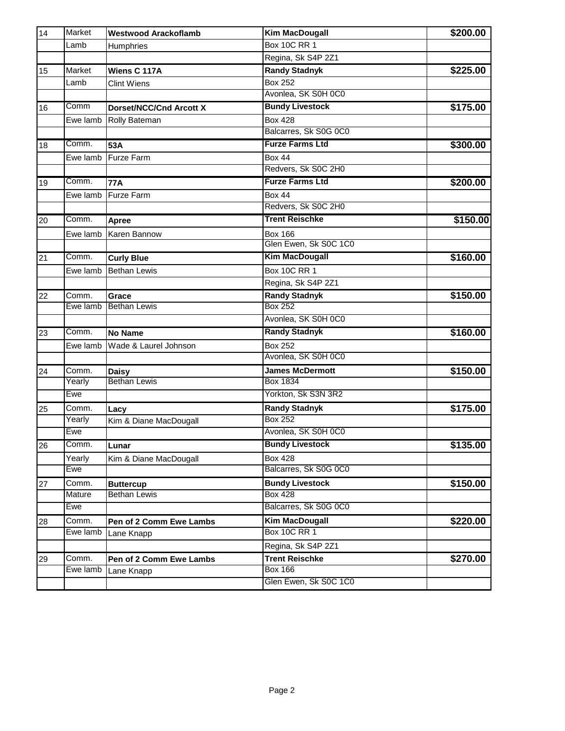| 14 | <b>Market</b> | <b>Westwood Arackoflamb</b>    | <b>Kim MacDougall</b>  | \$200.00 |
|----|---------------|--------------------------------|------------------------|----------|
|    | Lamb          | <b>Humphries</b>               | <b>Box 10C RR 1</b>    |          |
|    |               |                                | Regina, Sk S4P 2Z1     |          |
| 15 | Market        | Wiens C 117A                   | <b>Randy Stadnyk</b>   | \$225.00 |
|    | Lamb          | <b>Clint Wiens</b>             | <b>Box 252</b>         |          |
|    |               |                                | Avonlea, SK S0H 0C0    |          |
| 16 | Comm          | <b>Dorset/NCC/Cnd Arcott X</b> | <b>Bundy Livestock</b> | \$175.00 |
|    | Ewe lamb      | Rolly Bateman                  | <b>Box 428</b>         |          |
|    |               |                                | Balcarres, Sk S0G 0C0  |          |
| 18 | Comm.         | 53A                            | <b>Furze Farms Ltd</b> | \$300.00 |
|    | Ewe lamb      | <b>Furze Farm</b>              | <b>Box 44</b>          |          |
|    |               |                                | Redvers, Sk S0C 2H0    |          |
| 19 | Comm.         | <b>77A</b>                     | <b>Furze Farms Ltd</b> | \$200.00 |
|    | Ewe lamb      | <b>Furze Farm</b>              | <b>Box 44</b>          |          |
|    |               |                                | Redvers, Sk S0C 2H0    |          |
| 20 | Comm.         | Apree                          | <b>Trent Reischke</b>  | \$150.00 |
|    | Ewe lamb      | Karen Bannow                   | <b>Box 166</b>         |          |
|    |               |                                | Glen Ewen, Sk S0C 1C0  |          |
| 21 | Comm.         | <b>Curly Blue</b>              | <b>Kim MacDougall</b>  | \$160.00 |
|    | Ewe lamb      | <b>Bethan Lewis</b>            | <b>Box 10C RR 1</b>    |          |
|    |               |                                | Regina, Sk S4P 2Z1     |          |
| 22 | Comm.         | Grace                          | <b>Randy Stadnyk</b>   | \$150.00 |
|    | Ewe lamb      | <b>Bethan Lewis</b>            | <b>Box 252</b>         |          |
|    |               |                                | Avonlea, SK S0H 0C0    |          |
| 23 | Comm.         | <b>No Name</b>                 | <b>Randy Stadnyk</b>   | \$160.00 |
|    | Ewe lamb      | Wade & Laurel Johnson          | <b>Box 252</b>         |          |
|    |               |                                | Avonlea, SK S0H 0C0    |          |
| 24 | Comm.         | <b>Daisy</b>                   | <b>James McDermott</b> | \$150.00 |
|    | Yearly        | <b>Bethan Lewis</b>            | Box 1834               |          |
|    | Ewe           |                                | Yorkton, Sk S3N 3R2    |          |
| 25 | Comm.         | Lacy                           | <b>Randy Stadnyk</b>   | \$175.00 |
|    | Yearly        | Kim & Diane MacDougall         | <b>Box 252</b>         |          |
|    | Ewe           |                                | Avonlea, SK S0H 0C0    |          |
| 26 | Comm.         | Lunar                          | <b>Bundy Livestock</b> | \$135.00 |
|    | Yearly        | Kim & Diane MacDougall         | <b>Box 428</b>         |          |
|    | Ewe           |                                | Balcarres, Sk S0G 0C0  |          |
| 27 | Comm.         | <b>Buttercup</b>               | <b>Bundy Livestock</b> | \$150.00 |
|    | Mature        | <b>Bethan Lewis</b>            | <b>Box 428</b>         |          |
|    | Ewe           |                                | Balcarres, Sk S0G 0C0  |          |
| 28 | Comm.         | Pen of 2 Comm Ewe Lambs        | <b>Kim MacDougall</b>  | \$220.00 |
|    | Ewe lamb      | Lane Knapp                     | <b>Box 10C RR 1</b>    |          |
|    |               |                                | Regina, Sk S4P 2Z1     |          |
| 29 | Comm.         | Pen of 2 Comm Ewe Lambs        | <b>Trent Reischke</b>  | \$270.00 |
|    | Ewe lamb      | Lane Knapp                     | <b>Box 166</b>         |          |
|    |               |                                | Glen Ewen, Sk S0C 1C0  |          |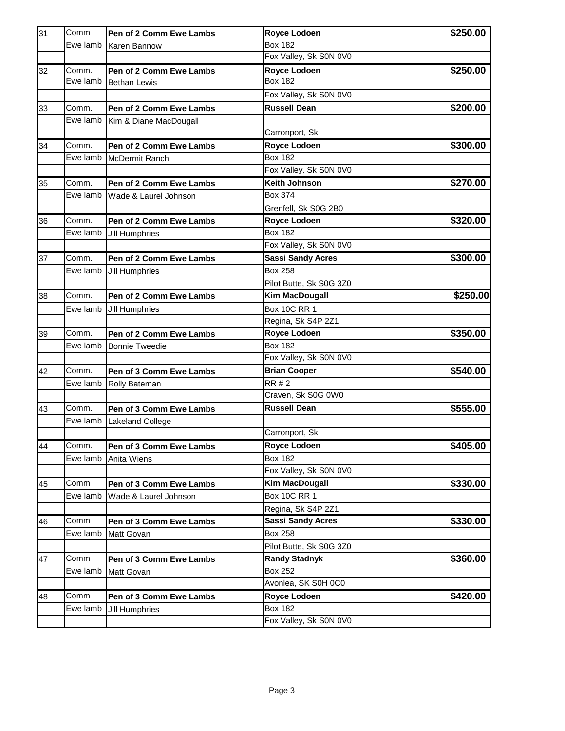| 31 | Comm     | Pen of 2 Comm Ewe Lambs | Royce Lodoen             | \$250.00 |
|----|----------|-------------------------|--------------------------|----------|
|    | Ewe lamb | Karen Bannow            | <b>Box 182</b>           |          |
|    |          |                         | Fox Valley, Sk S0N 0V0   |          |
| 32 | Comm.    | Pen of 2 Comm Ewe Lambs | Royce Lodoen             | \$250.00 |
|    | Ewe lamb | <b>Bethan Lewis</b>     | <b>Box 182</b>           |          |
|    |          |                         | Fox Valley, Sk S0N 0V0   |          |
| 33 | Comm.    | Pen of 2 Comm Ewe Lambs | <b>Russell Dean</b>      | \$200.00 |
|    | Ewe lamb | Kim & Diane MacDougall  |                          |          |
|    |          |                         | Carronport, Sk           |          |
| 34 | Comm.    | Pen of 2 Comm Ewe Lambs | Royce Lodoen             | \$300.00 |
|    | Ewe lamb | <b>McDermit Ranch</b>   | <b>Box 182</b>           |          |
|    |          |                         | Fox Valley, Sk S0N 0V0   |          |
| 35 | Comm.    | Pen of 2 Comm Ewe Lambs | <b>Keith Johnson</b>     | \$270.00 |
|    | Ewe lamb | Wade & Laurel Johnson   | Box 374                  |          |
|    |          |                         | Grenfell, Sk S0G 2B0     |          |
| 36 | Comm.    | Pen of 2 Comm Ewe Lambs | Royce Lodoen             | \$320.00 |
|    | Ewe lamb | Jill Humphries          | <b>Box 182</b>           |          |
|    |          |                         | Fox Valley, Sk S0N 0V0   |          |
| 37 | Comm.    | Pen of 2 Comm Ewe Lambs | <b>Sassi Sandy Acres</b> | \$300.00 |
|    | Ewe lamb | <b>Jill Humphries</b>   | <b>Box 258</b>           |          |
|    |          |                         | Pilot Butte, Sk S0G 3Z0  |          |
| 38 | Comm.    | Pen of 2 Comm Ewe Lambs | <b>Kim MacDougall</b>    | \$250.00 |
|    | Ewe lamb | Jill Humphries          | <b>Box 10C RR 1</b>      |          |
|    |          |                         | Regina, Sk S4P 2Z1       |          |
| 39 | Comm.    | Pen of 2 Comm Ewe Lambs | Royce Lodoen             | \$350.00 |
|    | Ewe lamb | <b>Bonnie Tweedie</b>   | <b>Box 182</b>           |          |
|    |          |                         | Fox Valley, Sk S0N 0V0   |          |
| 42 | Comm.    | Pen of 3 Comm Ewe Lambs | <b>Brian Cooper</b>      | \$540.00 |
|    | Ewe lamb | Rolly Bateman           | <b>RR#2</b>              |          |
|    |          |                         | Craven, Sk S0G 0W0       |          |
| 43 | Comm.    | Pen of 3 Comm Ewe Lambs | <b>Russell Dean</b>      | \$555.00 |
|    | Ewe lamb | Lakeland College        |                          |          |
|    |          |                         | Carronport, Sk           |          |
| 44 | Comm.    | Pen of 3 Comm Ewe Lambs | Royce Lodoen             | \$405.00 |
|    | Ewe lamb | Anita Wiens             | <b>Box 182</b>           |          |
|    |          |                         | Fox Valley, Sk S0N 0V0   |          |
| 45 | Comm     | Pen of 3 Comm Ewe Lambs | Kim MacDougall           | \$330.00 |
|    | Ewe lamb | Wade & Laurel Johnson   | <b>Box 10C RR 1</b>      |          |
|    |          |                         | Regina, Sk S4P 2Z1       |          |
| 46 | Comm     | Pen of 3 Comm Ewe Lambs | <b>Sassi Sandy Acres</b> | \$330.00 |
|    | Ewe lamb | Matt Govan              | <b>Box 258</b>           |          |
|    |          |                         | Pilot Butte, Sk S0G 3Z0  |          |
| 47 | Comm     | Pen of 3 Comm Ewe Lambs | <b>Randy Stadnyk</b>     | \$360.00 |
|    | Ewe lamb | Matt Govan              | <b>Box 252</b>           |          |
|    |          |                         | Avonlea, SK S0H 0C0      |          |
| 48 | Comm     | Pen of 3 Comm Ewe Lambs | Royce Lodoen             | \$420.00 |
|    | Ewe lamb | <b>Jill Humphries</b>   | <b>Box 182</b>           |          |
|    |          |                         | Fox Valley, Sk S0N 0V0   |          |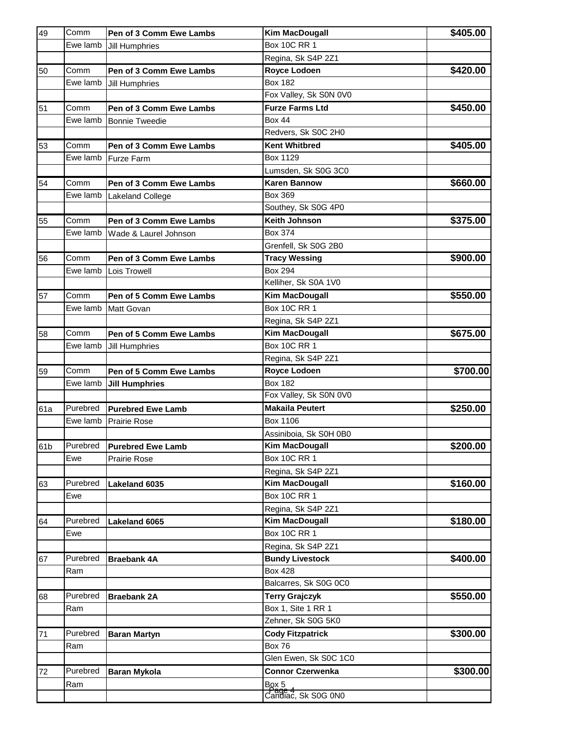| 49  | Comm     | Pen of 3 Comm Ewe Lambs  | <b>Kim MacDougall</b>   | \$405.00 |
|-----|----------|--------------------------|-------------------------|----------|
|     | Ewe lamb | <b>Jill Humphries</b>    | <b>Box 10C RR 1</b>     |          |
|     |          |                          | Regina, Sk S4P 2Z1      |          |
| 50  | Comm     | Pen of 3 Comm Ewe Lambs  | Royce Lodoen            | \$420.00 |
|     | Ewe lamb | Jill Humphries           | <b>Box 182</b>          |          |
|     |          |                          | Fox Valley, Sk S0N 0V0  |          |
| 51  | Comm     | Pen of 3 Comm Ewe Lambs  | <b>Furze Farms Ltd</b>  | \$450.00 |
|     | Ewe lamb | <b>Bonnie Tweedie</b>    | <b>Box 44</b>           |          |
|     |          |                          | Redvers, Sk S0C 2H0     |          |
| 53  | Comm     | Pen of 3 Comm Ewe Lambs  | <b>Kent Whitbred</b>    | \$405.00 |
|     | Ewe lamb | <b>Furze Farm</b>        | Box 1129                |          |
|     |          |                          | Lumsden, Sk S0G 3C0     |          |
| 54  | Comm     | Pen of 3 Comm Ewe Lambs  | <b>Karen Bannow</b>     | \$660.00 |
|     | Ewe lamb | Lakeland College         | <b>Box 369</b>          |          |
|     |          |                          | Southey, Sk S0G 4P0     |          |
| 55  | Comm     | Pen of 3 Comm Ewe Lambs  | <b>Keith Johnson</b>    | \$375.00 |
|     | Ewe lamb | Wade & Laurel Johnson    | Box 374                 |          |
|     |          |                          | Grenfell, Sk S0G 2B0    |          |
| 56  | Comm     | Pen of 3 Comm Ewe Lambs  | <b>Tracy Wessing</b>    | \$900.00 |
|     | Ewe lamb | Lois Trowell             | <b>Box 294</b>          |          |
|     |          |                          | Kelliher, Sk S0A 1V0    |          |
| 57  | Comm     | Pen of 5 Comm Ewe Lambs  | <b>Kim MacDougall</b>   | \$550.00 |
|     | Ewe lamb | <b>Matt Govan</b>        | <b>Box 10C RR 1</b>     |          |
|     |          |                          | Regina, Sk S4P 2Z1      |          |
| 58  | Comm     | Pen of 5 Comm Ewe Lambs  | <b>Kim MacDougall</b>   | \$675.00 |
|     | Ewe lamb | Jill Humphries           | <b>Box 10C RR 1</b>     |          |
|     |          |                          | Regina, Sk S4P 2Z1      |          |
| 59  | Comm     | Pen of 5 Comm Ewe Lambs  | Royce Lodoen            | \$700.00 |
|     | Ewe lamb | <b>Jill Humphries</b>    | <b>Box 182</b>          |          |
|     |          |                          | Fox Valley, Sk S0N 0V0  |          |
| 61a | Purebred | <b>Purebred Ewe Lamb</b> | <b>Makaila Peutert</b>  | \$250.00 |
|     | Ewe lamb | <b>Prairie Rose</b>      | Box 1106                |          |
|     |          |                          | Assiniboia, Sk S0H 0B0  |          |
| 61b | Purebred | <b>Purebred Ewe Lamb</b> | <b>Kim MacDougall</b>   | \$200.00 |
|     | Ewe      | Prairie Rose             | <b>Box 10C RR 1</b>     |          |
|     |          |                          | Regina, Sk S4P 2Z1      |          |
| 63  | Purebred | Lakeland 6035            | <b>Kim MacDougall</b>   | \$160.00 |
|     | Ewe      |                          | <b>Box 10C RR 1</b>     |          |
|     |          |                          | Regina, Sk S4P 2Z1      |          |
| 64  | Purebred | <b>Lakeland 6065</b>     | Kim MacDougall          | \$180.00 |
|     | Ewe      |                          | <b>Box 10C RR 1</b>     |          |
|     |          |                          | Regina, Sk S4P 2Z1      |          |
| 67  | Purebred | <b>Braebank 4A</b>       | <b>Bundy Livestock</b>  | \$400.00 |
|     | Ram      |                          | <b>Box 428</b>          |          |
|     |          |                          | Balcarres, Sk S0G 0C0   |          |
| 68  | Purebred | <b>Braebank 2A</b>       | <b>Terry Grajczyk</b>   | \$550.00 |
|     | Ram      |                          | Box 1, Site 1 RR 1      |          |
|     |          |                          | Zehner, Sk S0G 5K0      |          |
| 71  | Purebred | <b>Baran Martyn</b>      | <b>Cody Fitzpatrick</b> | \$300.00 |
|     | Ram      |                          | <b>Box 76</b>           |          |
|     |          |                          | Glen Ewen, Sk S0C 1C0   |          |
| 72  | Purebred | <b>Baran Mykola</b>      | <b>Connor Czerwenka</b> | \$300.00 |
|     | Ram      |                          | $\frac{Bpx}{2}$         |          |
|     |          |                          | Candiac, Sk S0G 0N0     |          |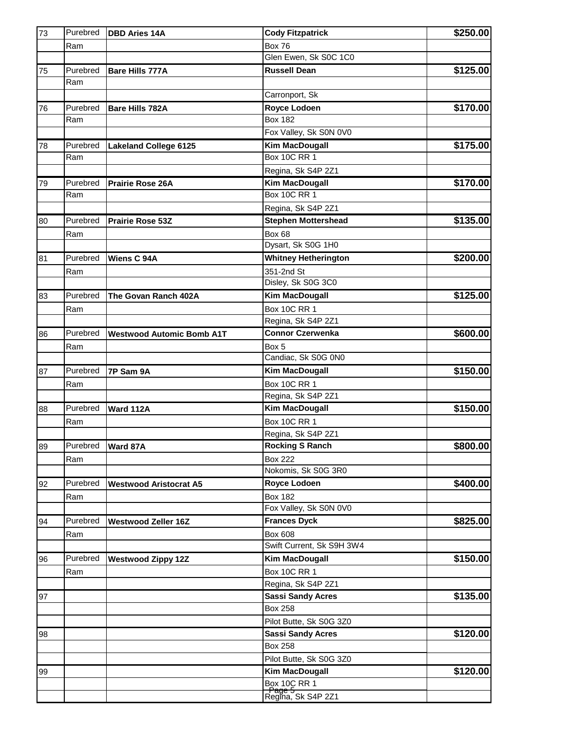| 73 | Purebred | <b>DBD Aries 14A</b>             | <b>Cody Fitzpatrick</b>                      | \$250.00 |
|----|----------|----------------------------------|----------------------------------------------|----------|
|    | Ram      |                                  | <b>Box 76</b>                                |          |
|    |          |                                  | Glen Ewen, Sk S0C 1C0                        |          |
| 75 | Purebred | <b>Bare Hills 777A</b>           | <b>Russell Dean</b>                          | \$125.00 |
|    | Ram      |                                  |                                              |          |
|    |          |                                  | Carronport, Sk                               |          |
| 76 | Purebred | Bare Hills 782A                  | Royce Lodoen                                 | \$170.00 |
|    | Ram      |                                  | <b>Box 182</b>                               |          |
|    |          |                                  | Fox Valley, Sk S0N 0V0                       |          |
| 78 | Purebred | <b>Lakeland College 6125</b>     | <b>Kim MacDougall</b>                        | \$175.00 |
|    | Ram      |                                  | <b>Box 10C RR 1</b>                          |          |
|    |          |                                  | Regina, Sk S4P 2Z1                           |          |
| 79 | Purebred | <b>Prairie Rose 26A</b>          | <b>Kim MacDougall</b>                        | \$170.00 |
|    | Ram      |                                  | <b>Box 10C RR 1</b>                          |          |
|    |          |                                  | Regina, Sk S4P 2Z1                           |          |
| 80 | Purebred | <b>Prairie Rose 53Z</b>          | <b>Stephen Mottershead</b>                   | \$135.00 |
|    |          |                                  |                                              |          |
|    | Ram      |                                  | <b>Box 68</b><br>Dysart, Sk S0G 1H0          |          |
|    | Purebred |                                  |                                              |          |
| 81 |          | Wiens C 94A                      | <b>Whitney Hetherington</b>                  | \$200.00 |
|    | Ram      |                                  | 351-2nd St                                   |          |
|    |          |                                  | Disley, Sk S0G 3C0                           |          |
| 83 | Purebred | The Govan Ranch 402A             | <b>Kim MacDougall</b>                        | \$125.00 |
|    | Ram      |                                  | <b>Box 10C RR 1</b>                          |          |
|    |          |                                  | Regina, Sk S4P 2Z1                           |          |
| 86 | Purebred | <b>Westwood Automic Bomb A1T</b> | <b>Connor Czerwenka</b>                      | \$600.00 |
|    | Ram      |                                  | Box 5                                        |          |
|    |          |                                  | Candiac, Sk S0G 0N0                          |          |
| 87 | Purebred | 7P Sam 9A                        | <b>Kim MacDougall</b>                        | \$150.00 |
|    | Ram      |                                  | <b>Box 10C RR 1</b>                          |          |
|    |          |                                  | Regina, Sk S4P 2Z1                           |          |
| 88 | Purebred | Ward 112A                        | <b>Kim MacDougall</b>                        | \$150.00 |
|    | Ram      |                                  | <b>Box 10C RR 1</b>                          |          |
|    |          |                                  | Regina, Sk S4P 2Z1                           |          |
| 89 | Purebred | Ward 87A                         | <b>Rocking S Ranch</b>                       | \$800.00 |
|    | Ram      |                                  | <b>Box 222</b>                               |          |
|    |          |                                  | Nokomis, Sk S0G 3R0                          |          |
| 92 | Purebred | <b>Westwood Aristocrat A5</b>    | Royce Lodoen                                 | \$400.00 |
|    | Ram      |                                  | <b>Box 182</b>                               |          |
|    |          |                                  | Fox Valley, Sk S0N 0V0                       |          |
| 94 | Purebred | <b>Westwood Zeller 16Z</b>       | <b>Frances Dyck</b>                          | \$825.00 |
|    | Ram      |                                  | <b>Box 608</b>                               |          |
|    |          |                                  | Swift Current, Sk S9H 3W4                    |          |
| 96 | Purebred | <b>Westwood Zippy 12Z</b>        | <b>Kim MacDougall</b>                        | \$150.00 |
|    | Ram      |                                  | <b>Box 10C RR 1</b>                          |          |
|    |          |                                  | Regina, Sk S4P 2Z1                           |          |
| 97 |          |                                  | <b>Sassi Sandy Acres</b>                     | \$135.00 |
|    |          |                                  | <b>Box 258</b>                               |          |
|    |          |                                  | Pilot Butte, Sk S0G 3Z0                      |          |
| 98 |          |                                  | <b>Sassi Sandy Acres</b>                     | \$120.00 |
|    |          |                                  | <b>Box 258</b>                               |          |
|    |          |                                  |                                              |          |
|    |          |                                  | Pilot Butte, Sk S0G 3Z0                      |          |
| 99 |          |                                  | <b>Kim MacDougall</b>                        | \$120.00 |
|    |          |                                  | Box 10C RR 1<br>Page 5<br>Regina, Sk S4P 2Z1 |          |
|    |          |                                  |                                              |          |